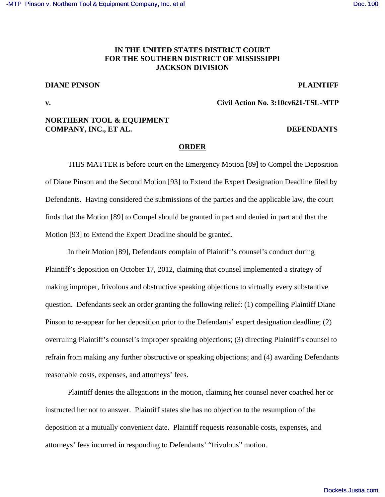# **IN THE UNITED STATES DISTRICT COURT FOR THE SOUTHERN DISTRICT OF MISSISSIPPI JACKSON DIVISION**

## **DIANE PINSON PLAINTIFF**

**v. Civil Action No. 3:10cv621-TSL-MTP**

### **NORTHERN TOOL & EQUIPMENT COMPANY, INC., ET AL. DEFENDANTS**

### **ORDER**

THIS MATTER is before court on the Emergency Motion [89] to Compel the Deposition of Diane Pinson and the Second Motion [93] to Extend the Expert Designation Deadline filed by Defendants. Having considered the submissions of the parties and the applicable law, the court finds that the Motion [89] to Compel should be granted in part and denied in part and that the Motion [93] to Extend the Expert Deadline should be granted.

In their Motion [89], Defendants complain of Plaintiff's counsel's conduct during Plaintiff's deposition on October 17, 2012, claiming that counsel implemented a strategy of making improper, frivolous and obstructive speaking objections to virtually every substantive question. Defendants seek an order granting the following relief: (1) compelling Plaintiff Diane Pinson to re-appear for her deposition prior to the Defendants' expert designation deadline; (2) overruling Plaintiff's counsel's improper speaking objections; (3) directing Plaintiff's counsel to refrain from making any further obstructive or speaking objections; and (4) awarding Defendants reasonable costs, expenses, and attorneys' fees.

Plaintiff denies the allegations in the motion, claiming her counsel never coached her or instructed her not to answer. Plaintiff states she has no objection to the resumption of the deposition at a mutually convenient date. Plaintiff requests reasonable costs, expenses, and attorneys' fees incurred in responding to Defendants' "frivolous" motion.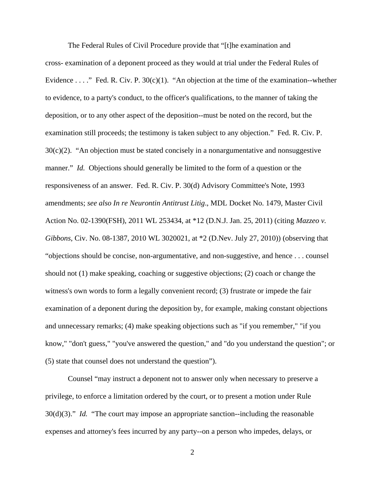The Federal Rules of Civil Procedure provide that "[t]he examination and cross- examination of a deponent proceed as they would at trial under the Federal Rules of Evidence . . . ." Fed. R. Civ. P.  $30(c)(1)$ . "An objection at the time of the examination--whether to evidence, to a party's conduct, to the officer's qualifications, to the manner of taking the deposition, or to any other aspect of the deposition--must be noted on the record, but the examination still proceeds; the testimony is taken subject to any objection." Fed. R. Civ. P.  $30(c)(2)$ . "An objection must be stated concisely in a nonargumentative and nonsuggestive manner." *Id.* Objections should generally be limited to the form of a question or the responsiveness of an answer. Fed. R. Civ. P. 30(d) Advisory Committee's Note, 1993 amendments; *see also In re Neurontin Antitrust Litig*., MDL Docket No. 1479, Master Civil Action No. 02-1390(FSH), 2011 WL 253434, at \*12 (D.N.J. Jan. 25, 2011) (citing *Mazzeo v. Gibbons*, Civ. No. 08-1387, 2010 WL 3020021, at \*2 (D.Nev. July 27, 2010)) (observing that "objections should be concise, non-argumentative, and non-suggestive, and hence . . . counsel should not (1) make speaking, coaching or suggestive objections; (2) coach or change the witness's own words to form a legally convenient record; (3) frustrate or impede the fair examination of a deponent during the deposition by, for example, making constant objections and unnecessary remarks; (4) make speaking objections such as "if you remember," "if you know," "don't guess," "you've answered the question," and "do you understand the question"; or (5) state that counsel does not understand the question").

Counsel "may instruct a deponent not to answer only when necessary to preserve a privilege, to enforce a limitation ordered by the court, or to present a motion under Rule 30(d)(3)." *Id.* "The court may impose an appropriate sanction--including the reasonable expenses and attorney's fees incurred by any party--on a person who impedes, delays, or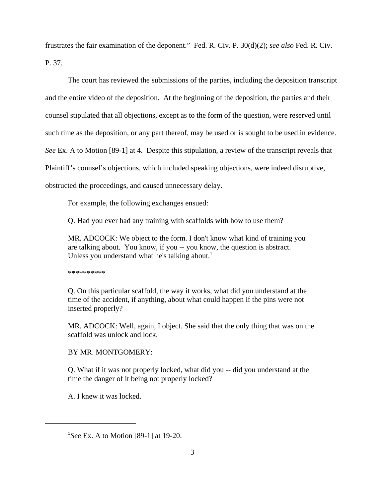frustrates the fair examination of the deponent." Fed. R. Civ. P. 30(d)(2); *see also* Fed. R. Civ. P. 37.

The court has reviewed the submissions of the parties, including the deposition transcript and the entire video of the deposition. At the beginning of the deposition, the parties and their counsel stipulated that all objections, except as to the form of the question, were reserved until such time as the deposition, or any part thereof, may be used or is sought to be used in evidence. *See* Ex. A to Motion [89-1] at 4. Despite this stipulation, a review of the transcript reveals that Plaintiff's counsel's objections, which included speaking objections, were indeed disruptive, obstructed the proceedings, and caused unnecessary delay.

For example, the following exchanges ensued:

Q. Had you ever had any training with scaffolds with how to use them?

MR. ADCOCK: We object to the form. I don't know what kind of training you are talking about. You know, if you -- you know, the question is abstract. Unless you understand what he's talking about. $<sup>1</sup>$ </sup>

\*\*\*\*\*\*\*\*\*\*

Q. On this particular scaffold, the way it works, what did you understand at the time of the accident, if anything, about what could happen if the pins were not inserted properly?

MR. ADCOCK: Well, again, I object. She said that the only thing that was on the scaffold was unlock and lock.

BY MR. MONTGOMERY:

Q. What if it was not properly locked, what did you -- did you understand at the time the danger of it being not properly locked?

A. I knew it was locked.

<sup>&</sup>lt;sup>1</sup>See Ex. A to Motion [89-1] at 19-20.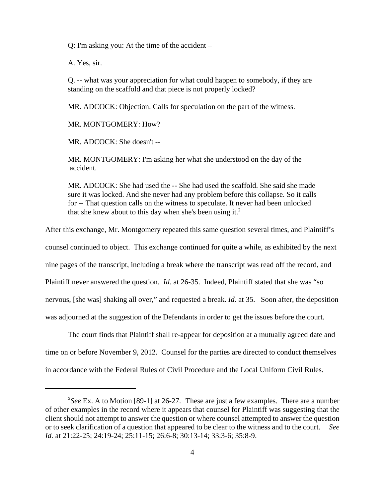Q: I'm asking you: At the time of the accident –

A. Yes, sir.

Q. -- what was your appreciation for what could happen to somebody, if they are standing on the scaffold and that piece is not properly locked?

MR. ADCOCK: Objection. Calls for speculation on the part of the witness.

MR. MONTGOMERY: How?

MR. ADCOCK: She doesn't --

MR. MONTGOMERY: I'm asking her what she understood on the day of the accident.

MR. ADCOCK: She had used the -- She had used the scaffold. She said she made sure it was locked. And she never had any problem before this collapse. So it calls for -- That question calls on the witness to speculate. It never had been unlocked that she knew about to this day when she's been using it.<sup>2</sup>

After this exchange, Mr. Montgomery repeated this same question several times, and Plaintiff's

counsel continued to object. This exchange continued for quite a while, as exhibited by the next

nine pages of the transcript, including a break where the transcript was read off the record, and

Plaintiff never answered the question. *Id.* at 26-35. Indeed, Plaintiff stated that she was "so

nervous, [she was] shaking all over," and requested a break. *Id.* at 35. Soon after, the deposition

was adjourned at the suggestion of the Defendants in order to get the issues before the court.

The court finds that Plaintiff shall re-appear for deposition at a mutually agreed date and time on or before November 9, 2012. Counsel for the parties are directed to conduct themselves in accordance with the Federal Rules of Civil Procedure and the Local Uniform Civil Rules.

<sup>&</sup>lt;sup>2</sup>See Ex. A to Motion [89-1] at 26-27. These are just a few examples. There are a number of other examples in the record where it appears that counsel for Plaintiff was suggesting that the client should not attempt to answer the question or where counsel attempted to answer the question or to seek clarification of a question that appeared to be clear to the witness and to the court. *See Id.* at 21:22-25; 24:19-24; 25:11-15; 26:6-8; 30:13-14; 33:3-6; 35:8-9.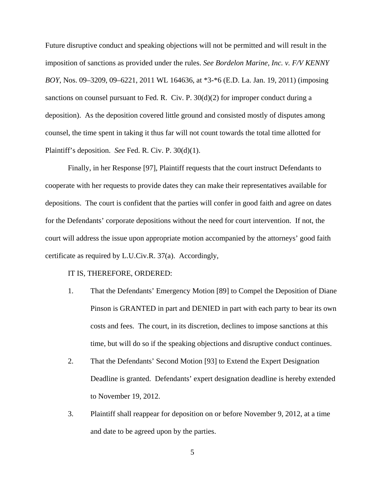Future disruptive conduct and speaking objections will not be permitted and will result in the imposition of sanctions as provided under the rules. *See Bordelon Marine, Inc. v. F/V KENNY BOY*, Nos. 09–3209, 09–6221, 2011 WL 164636, at \*3-\*6 (E.D. La. Jan. 19, 2011) (imposing sanctions on counsel pursuant to Fed. R. Civ. P. 30(d)(2) for improper conduct during a deposition). As the deposition covered little ground and consisted mostly of disputes among counsel, the time spent in taking it thus far will not count towards the total time allotted for Plaintiff's deposition. *See* Fed. R. Civ. P. 30(d)(1).

Finally, in her Response [97], Plaintiff requests that the court instruct Defendants to cooperate with her requests to provide dates they can make their representatives available for depositions. The court is confident that the parties will confer in good faith and agree on dates for the Defendants' corporate depositions without the need for court intervention. If not, the court will address the issue upon appropriate motion accompanied by the attorneys' good faith certificate as required by L.U.Civ.R. 37(a). Accordingly,

#### IT IS, THEREFORE, ORDERED:

- 1. That the Defendants' Emergency Motion [89] to Compel the Deposition of Diane Pinson is GRANTED in part and DENIED in part with each party to bear its own costs and fees. The court, in its discretion, declines to impose sanctions at this time, but will do so if the speaking objections and disruptive conduct continues.
- 2. That the Defendants' Second Motion [93] to Extend the Expert Designation Deadline is granted. Defendants' expert designation deadline is hereby extended to November 19, 2012.
- 3. Plaintiff shall reappear for deposition on or before November 9, 2012, at a time and date to be agreed upon by the parties.